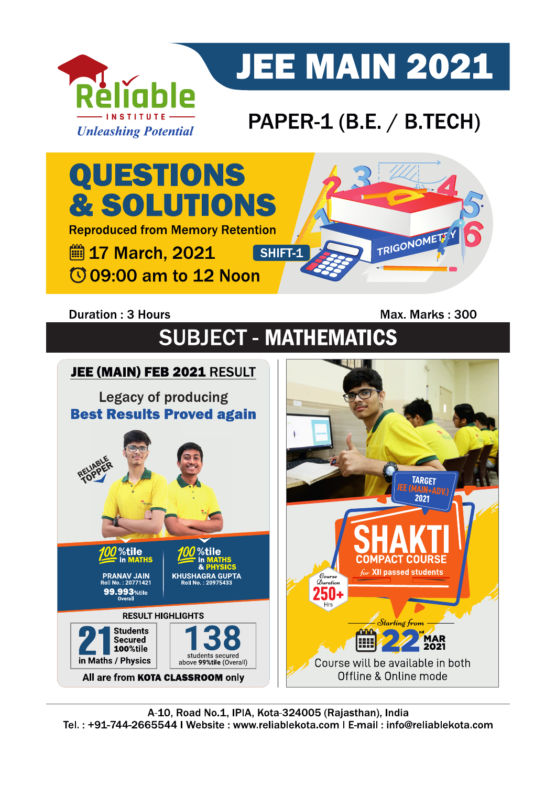

# **JEE MAIN 2021**

### PAPER-1 (B.E. / B.TECH)



### **Duration: 3 Hours**

Max. Marks: 300

## **SUBJECT - MATHEMATICS**

#### JEE (MAIN) FEB 2021 RESULT **Legacy of producing Best Results Proved again** JEE (MAIN) **TARGET** %tile %tile in MATHS **COMPACT COURSE** for XII passed students **PRANAV JAIN**<br>Roll No.: 20771421  $\mathcal{D}_{uration}$ 99.993 %tile ЫΙ **RESULT HIGHLIGHTS** Starting from **Students nnn MAR**<br>2021 Secured E 100%tile students secured<br>above 99%tile (Overall) in Maths / Physics Course will be available in both Offline & Online mode All are from KOTA CLASSROOM only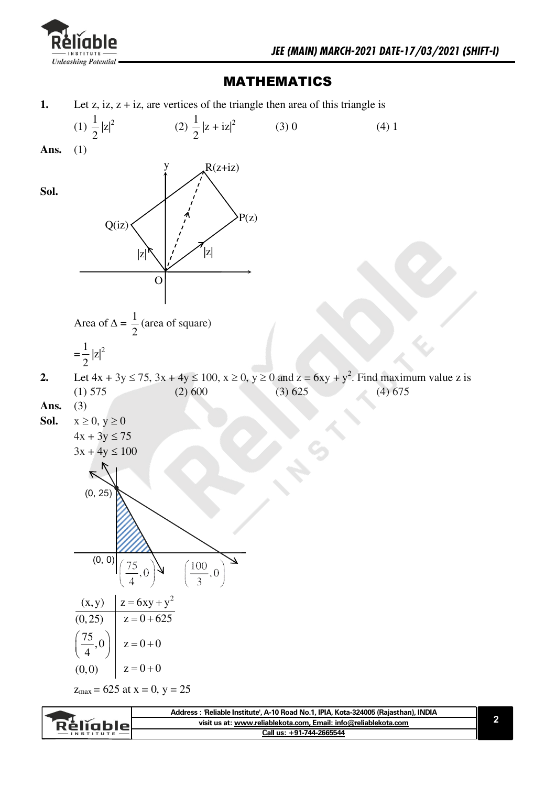

Réliable

### MATHEMATICS

**1.** Let z, iz,  $z + i z$ , are vertices of the triangle then area of this triangle is



**visit us at: www.reliablekota.com, Email: info@reliablekota.com Call us: +91-744-2665544**

**2**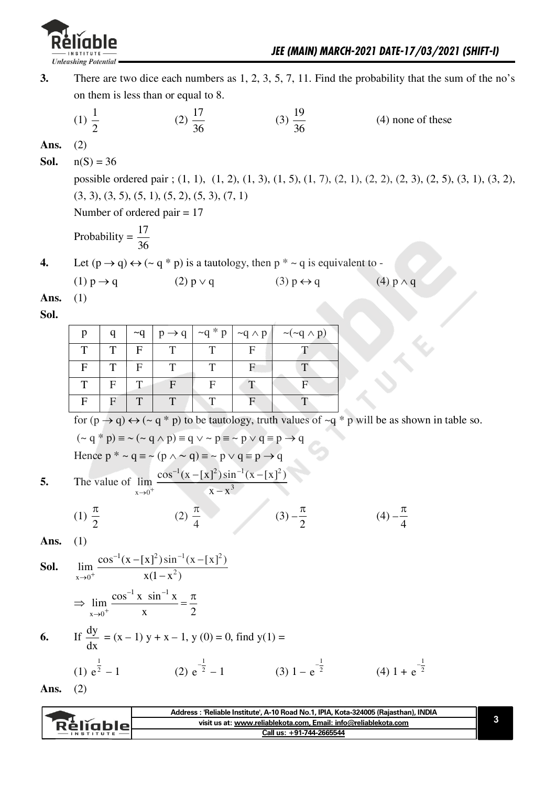

| 3.           |                               |   |              | on them is less than or equal to 8.                                                                                  |              |                                          |                                                                                                           | There are two dice each numbers as $1, 2, 3, 5, 7, 11$ . Find the probability that the sum of the no's                           |
|--------------|-------------------------------|---|--------------|----------------------------------------------------------------------------------------------------------------------|--------------|------------------------------------------|-----------------------------------------------------------------------------------------------------------|----------------------------------------------------------------------------------------------------------------------------------|
|              | (1) $\frac{1}{2}$             |   |              | $(2)\frac{17}{36}$                                                                                                   |              |                                          | $(3) \frac{19}{36}$                                                                                       | $(4)$ none of these                                                                                                              |
| Ans.<br>Sol. | (2)<br>$n(S) = 36$            |   |              | $(3, 3), (3, 5), (5, 1), (5, 2), (5, 3), (7, 1)$<br>Number of ordered pair $= 17$                                    |              |                                          |                                                                                                           | possible ordered pair ; (1, 1), (1, 2), (1, 3), (1, 5), (1, 7), (2, 1), (2, 2), (2, 3), (2, 5), (3, 1), (3, 2),                  |
|              | Probability = $\frac{17}{36}$ |   |              |                                                                                                                      |              |                                          |                                                                                                           |                                                                                                                                  |
| 4.           |                               |   |              |                                                                                                                      |              |                                          | Let $(p \rightarrow q) \leftrightarrow (\sim q * p)$ is a tautology, then $p * \sim q$ is equivalent to - |                                                                                                                                  |
|              | $(1) p \rightarrow q$         |   |              | $(2) p \vee q$                                                                                                       |              |                                          | $(3) p \leftrightarrow q$                                                                                 | $(4) p \wedge q$                                                                                                                 |
| Ans.         | (1)                           |   |              |                                                                                                                      |              |                                          |                                                                                                           |                                                                                                                                  |
| Sol.         |                               |   |              |                                                                                                                      |              |                                          |                                                                                                           |                                                                                                                                  |
|              | $\mathbf{p}$                  | q | $\sim q$     | $p \rightarrow q$                                                                                                    | $\neg q * p$ | $\neg q \wedge p$                        | $\sim (\sim q \wedge p)$                                                                                  |                                                                                                                                  |
|              | T                             | T | $\mathbf{F}$ | T                                                                                                                    | T            | $\mathbf{F}$                             | T                                                                                                         |                                                                                                                                  |
|              | $\mathbf{F}$                  | T | $\mathbf{F}$ | T                                                                                                                    | T            | $\mathbf F$                              | T                                                                                                         |                                                                                                                                  |
|              | T                             | F | T            | $\mathbf{F}$                                                                                                         | $\mathbf F$  | T                                        | $\mathbf{F}$                                                                                              |                                                                                                                                  |
|              | $\mathbf{F}$                  | F | T            | T                                                                                                                    | T            | $\mathbf{F}$                             | T                                                                                                         |                                                                                                                                  |
|              |                               |   |              |                                                                                                                      |              |                                          |                                                                                                           | for $(p \rightarrow q) \leftrightarrow (\sim q * p)$ to be tautology, truth values of $\sim q * p$ will be as shown in table so. |
|              |                               |   |              | $({\sim q} * p) \equiv {\sim (\sim q \land p)} \equiv q \lor {\sim p} \equiv {\sim p \lor q} \equiv p \rightarrow q$ |              |                                          |                                                                                                           |                                                                                                                                  |
|              |                               |   |              | Hence $p^* \sim q \equiv \sim (p \wedge \sim q) \equiv \sim p \vee q \equiv p \rightarrow q$                         |              |                                          |                                                                                                           |                                                                                                                                  |
|              |                               |   |              | The value of $\lim_{x\to 0^+} \frac{\cos^{-1}(x-[x]^2)\sin^{-1}(x-[x]^2)}{x-x^3}$                                    |              |                                          |                                                                                                           |                                                                                                                                  |
|              | (1) $\frac{\pi}{2}$           |   |              |                                                                                                                      |              | (2) $\frac{\pi}{4}$ (3) $-\frac{\pi}{2}$ |                                                                                                           | $(4) -\frac{\pi}{4}$                                                                                                             |
| Ans.         | (1)                           |   |              |                                                                                                                      |              |                                          |                                                                                                           |                                                                                                                                  |
| Sol.         |                               |   |              | $\lim_{x\to 0^+} \frac{\cos^{-1}(x-[x]^2)\sin^{-1}(x-[x]^2)}{x(1-x^2)}$                                              |              |                                          |                                                                                                           |                                                                                                                                  |
|              |                               |   |              | $\Rightarrow \lim_{x\to 0^+} \frac{\cos^{-1} x \sin^{-1} x}{x} = \frac{\pi}{2}$                                      |              |                                          |                                                                                                           |                                                                                                                                  |
| 6.           |                               |   |              | If $\frac{dy}{dx}$ = (x – 1) y + x – 1, y (0) = 0, find y(1) =                                                       |              |                                          |                                                                                                           |                                                                                                                                  |
|              |                               |   |              |                                                                                                                      |              |                                          |                                                                                                           | (1) $e^{\frac{1}{2}} - 1$ (2) $e^{-\frac{1}{2}} - 1$ (3) $1 - e^{-\frac{1}{2}}$ (4) $1 + e^{-\frac{1}{2}}$                       |
| Ans.         | (2)                           |   |              |                                                                                                                      |              |                                          |                                                                                                           |                                                                                                                                  |
|              |                               |   |              |                                                                                                                      |              |                                          |                                                                                                           |                                                                                                                                  |
|              |                               |   |              |                                                                                                                      |              |                                          |                                                                                                           | Address : 'Reliable Institute', A-10 Road No.1, IPIA, Kota-324005 (Rajasthan), INDIA                                             |

|                  | Address: 'Reliable Institute', A-10 Road No.1, IPIA, Kota-324005 (Rajasthan), INDIA |  |
|------------------|-------------------------------------------------------------------------------------|--|
| Relighiol        | visit us at: www.reliablekota.com, Email: info@reliablekota.com                     |  |
| <b>INSTITUTE</b> | Call us: +91-744-2665544                                                            |  |

١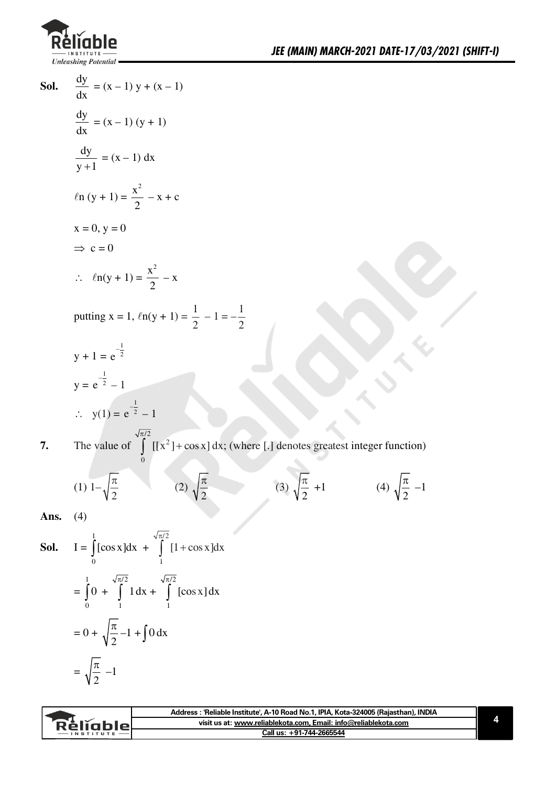

**Sol.** 
$$
\frac{dy}{dx} = (x-1)y + (x-1)
$$
  
\n $\frac{dy}{dx} = (x-1)(y+1)$   
\n $\frac{dy}{y+1} = (x-1) dx$   
\n $\ln(y+1) = \frac{x^2}{2} - x + c$   
\n $x = 0, y = 0$   
\n $\Rightarrow c = 0$   
\n $\therefore ln(y+1) = \frac{x^2}{2} - x$   
\nputting  $x = 1$ ,  $ln(y+1) = \frac{1}{2} - 1 = -\frac{1}{2}$   
\n $y + 1 = e^{-\frac{1}{2}}$   
\n $y = e^{-\frac{1}{2}} - 1$   
\n $\therefore y(1) = e^{-\frac{1}{2}} - 1$   
\n**7.** The value of  $\int_{0}^{\sqrt{\pi/2}} [ [x^2] + \cos x] dx$ ; (where [.] denotes greatest integer function)  
\n $(1) 1 - \sqrt{\frac{\pi}{2}}$  (2)  $\sqrt{\frac{\pi}{2}}$  (3)  $\sqrt{\frac{\pi}{2}} + 1$  (4)  $\sqrt{\frac{\pi}{2}} - 1$   
\n**Ans.** (4)

I =  $\int_{0}^{1} [\cos x] dx + \int_{1}^{\sqrt{\pi/2}} [1 + \cos x] dx$ Sol. =  $\int_{0}^{1} 0 + \int_{1}^{\sqrt{\pi/2}} 1 dx + \int_{1}^{\sqrt{\pi/2}} [\cos x] dx$  $= 0 + \sqrt{\frac{\pi}{2}} - 1 + \int 0 \, dx$  $=\sqrt{\frac{\pi}{2}}$  -1

| visit us at: www.reliablekota.com, Email: info@reliablekota.com<br><b>Réliable</b> |  |
|------------------------------------------------------------------------------------|--|
| Call us: +91-744-2665544<br><b>INSTITUTE</b>                                       |  |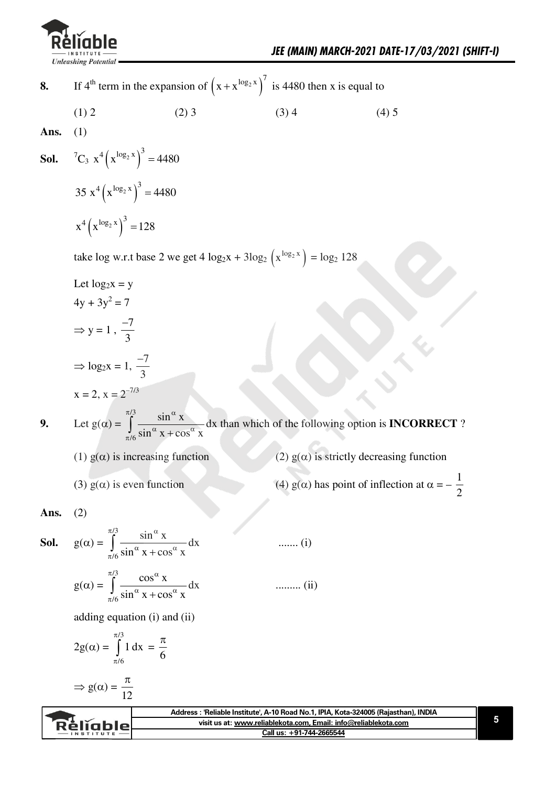

(4)  $g(\alpha)$  has point of inflection at  $\alpha = -\frac{1}{2}$ 

- If 4<sup>th</sup> term in the expansion of  $(x + x^{\log_2 x})^7$  is 4480 then x is equal to 8.
	- $(1) 2$  $(2)$  3  $(3)$  4  $(4) 5$
- Ans.  $(1)$

**Sol.** 
$$
{}^{7}C_{3} x^{4} (x^{\log_{2} x})^{3} = 4480
$$
  
35  $x^{4} (x^{\log_{2} x})^{3} = 4480$   
 $x^{4} (x^{\log_{2} x})^{3} = 128$ 

take log w.r.t base 2 we get 4  $\log_2 x + 3\log_2 (x^{\log_2 x}) = \log_2 128$ 

- Let  $log_2 x = y$  $4y + 3y^2 = 7$  $\Rightarrow$  y = 1,  $\frac{-7}{3}$  $\Rightarrow$  log<sub>2</sub>x = 1,  $\frac{-7}{3}$  $x = 2, x = 2^{-7/3}$
- Let  $g(\alpha) = \int_{\pi/6}^{\pi/3} \frac{\sin^{\alpha} x}{\sin^{\alpha} x + \cos^{\alpha} x} dx$  than which of the following option is **INCORRECT**? 9. (2)  $g(\alpha)$  is strictly decreasing function
	- (1)  $g(\alpha)$  is increasing function
	- (3)  $g(\alpha)$  is even function
- $(2)$ Ans.

**Sol.** 
$$
g(\alpha) = \int_{\pi/6}^{\pi/3} \frac{\sin^{\alpha} x}{\sin^{\alpha} x + \cos^{\alpha} x} dx
$$
 ...... (i)  

$$
g(\alpha) = \int_{\pi/6}^{\pi/3} \frac{\cos^{\alpha} x}{\sin^{\alpha} x + \cos^{\alpha} x} dx
$$
 ...... (ii)

adding equation  $(i)$  and  $(ii)$ 

$$
2g(\alpha) = \int_{\pi/6}^{\pi/3} 1 dx = \frac{\pi}{6}
$$

$$
\Rightarrow g(\alpha) = \frac{\pi}{12}
$$

|               | Address : 'Reliable Institute', A-10 Road No.1, IPIA, Kota-324005 (Rajasthan), INDIA |  |
|---------------|--------------------------------------------------------------------------------------|--|
| Réliable      | visit us at: www.reliablekota.com, Email: info@reliablekota.com                      |  |
| $-$ INSTITUTE | Call us: +91-744-2665544                                                             |  |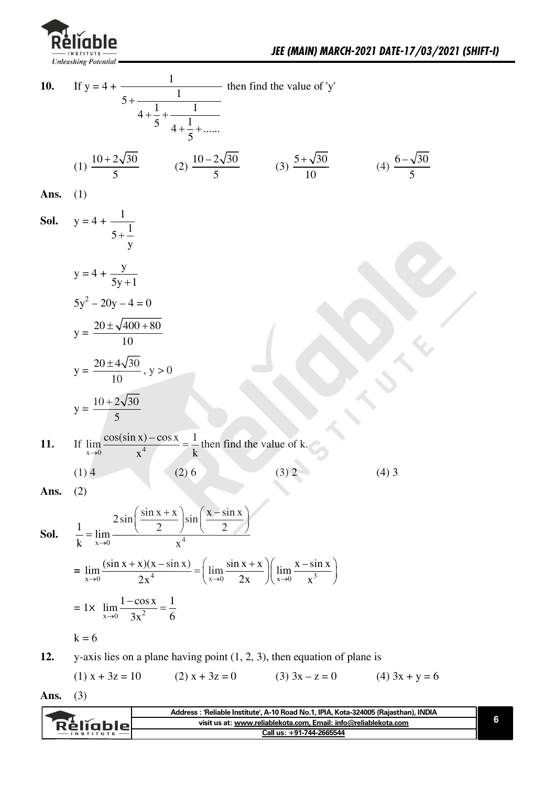

If  $y = 4 + \frac{1}{5 + \frac{1}{4 + \frac{1}{5} + \frac{1}{4 + \frac{1}{5} + \dots}}}$  then find the value of 'y' 10. (1)  $\frac{10+2\sqrt{30}}{5}$  (2)  $\frac{10-2\sqrt{30}}{5}$  (3)  $\frac{5+\sqrt{30}}{10}$  (4)  $\frac{6-\sqrt{30}}{5}$ Ans.  $(1)$ **Sol.**  $y = 4 + \frac{1}{5 + \frac{1}{y}}$  $y = 4 + \frac{y}{5y+1}$  $5y^2 - 20y - 4 = 0$  $y = \frac{20 \pm \sqrt{400 + 80}}{10}$  $y = \frac{20 \pm 4\sqrt{30}}{10}$ ,  $y > 0$  $y = \frac{10 + 2\sqrt{30}}{5}$ If  $\lim_{x\to 0} \frac{\cos(\sin x) - \cos x}{x^4} = \frac{1}{k}$  then find the value of k. 11.  $(2)$  6  $(1)$  4  $(4)$  3  $(3) 2$  $(2)$ Ans.  $\frac{1}{k} = \lim_{x \to 0} \frac{2 \sin \left( \frac{\sin x + x}{2} \right) \sin \left( \frac{x - \sin x}{2} \right)}{4}$ Sol.  $= \lim_{x\to 0} \frac{(\sin x + x)(x - \sin x)}{2x^4} = \left( \lim_{x\to 0} \frac{\sin x + x}{2x} \right) \left( \lim_{x\to 0} \frac{x - \sin x}{x^3} \right)$ = 1x  $\lim_{x\to 0} \frac{1-\cos x}{3x^2} = \frac{1}{6}$  $k = 6$ 

y-axis lies on a plane having point  $(1, 2, 3)$ , then equation of plane is 12.

 $(1) x + 3z = 10$  $(2) x + 3z = 0$  $(3)$  3x – z = 0  $(4)$  3x + y = 6

Ans.  $(3)$ 

|                 | Address : 'Reliable Institute', A-10 Road No.1, IPIA, Kota-324005 (Rajasthan), INDIA |  |
|-----------------|--------------------------------------------------------------------------------------|--|
| <b>Rèlighle</b> | visit us at: www.reliablekota.com, Email: info@reliablekota.com                      |  |
|                 | Call us: +91-744-2665544                                                             |  |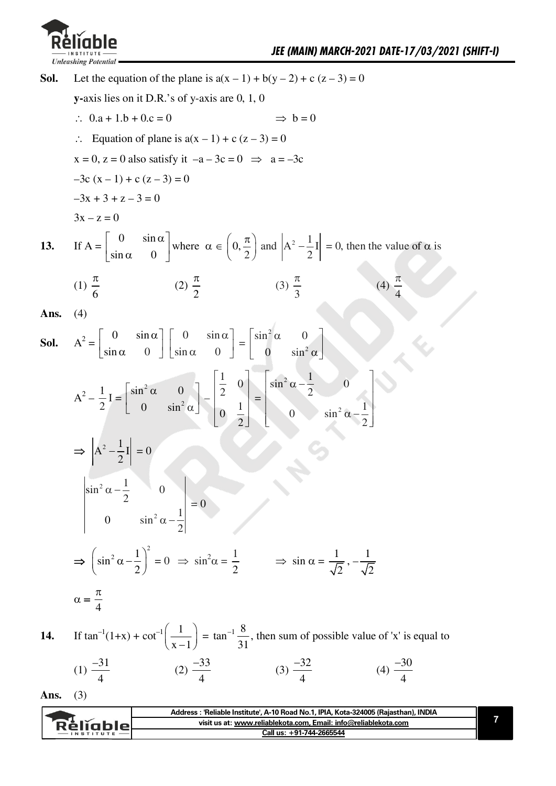

Let the equation of the plane is  $a(x - 1) + b(y - 2) + c(z - 3) = 0$ Sol.  $\mathbf{v}$ -axis lies on it D.R.'s of y-axis are 0, 1, 0  $\therefore$  0.a + 1.b + 0.c = 0  $\Rightarrow$  b = 0  $\therefore$  Equation of plane is  $a(x - 1) + c(z - 3) = 0$  $x = 0$ ,  $z = 0$  also satisfy it  $-a - 3c = 0 \implies a = -3c$  $-3c(x-1) + c(z-3) = 0$  $-3x + 3 + z - 3 = 0$  $3x - z = 0$ If  $A = \begin{bmatrix} 0 & \sin \alpha \\ \sin \alpha & 0 \end{bmatrix}$  where  $\alpha \in \left(0, \frac{\pi}{2}\right)$  and  $\left|A^2 - \frac{1}{2}I\right| = 0$ , then the value of  $\alpha$  is 13. (1)  $\frac{\pi}{6}$ (3)  $\frac{\pi}{2}$ (4)  $\frac{\pi}{4}$ (2)  $\frac{\pi}{2}$ Ans.  $(4)$  $A^{2} = \begin{bmatrix} 0 & \sin \alpha \\ \sin \alpha & 0 \end{bmatrix} \begin{bmatrix} 0 & \sin \alpha \\ \sin \alpha & 0 \end{bmatrix} = \begin{bmatrix} \sin^{2} \alpha & 0 \\ 0 & \sin^{2} \alpha \end{bmatrix}$ Sol.  $A^{2} - \frac{1}{2}I = \begin{bmatrix} \sin^{2} \alpha & 0 \\ 0 & \sin^{2} \alpha \end{bmatrix} - \begin{bmatrix} \frac{1}{2} & 0 \\ 0 & \frac{1}{2} \end{bmatrix} = \begin{bmatrix} \sin^{2} \alpha - \frac{1}{2} & 0 \\ 0 & \sin^{2} \alpha - \frac{1}{2} \end{bmatrix}$  $\Rightarrow \left| A^2 - \frac{1}{2} I \right| = 0$  $\begin{vmatrix} \sin^2 \alpha - \frac{1}{2} & 0 \\ 0 & \sin^2 \alpha - \frac{1}{2} \end{vmatrix} = 0$  $\Rightarrow \left(\sin^2 \alpha - \frac{1}{2}\right)^2 = 0 \Rightarrow \sin^2 \alpha = \frac{1}{2} \Rightarrow \sin \alpha = \frac{1}{\sqrt{2}}, -\frac{1}{\sqrt{2}}$  $\alpha = \frac{\pi}{4}$ 

If  $\tan^{-1}(1+x) + \cot^{-1}\left(\frac{1}{x-1}\right) = \tan^{-1}\frac{8}{31}$ , then sum of possible value of 'x' is equal to 14.

(1) 
$$
\frac{-31}{4}
$$
 (2)  $\frac{-33}{4}$  (3)  $\frac{-32}{4}$  (4)  $\frac{-30}{4}$ 

 $(3)$ Ans.

| visit us at: www.reliablekota.com, Email: info@reliablekota.com<br>Réligble!<br>Call us: +91-744-2665544<br><b>INSTITUTE</b> | Address: 'Reliable Institute', A-10 Road No.1, IPIA, Kota-324005 (Rajasthan), INDIA |
|------------------------------------------------------------------------------------------------------------------------------|-------------------------------------------------------------------------------------|
|                                                                                                                              |                                                                                     |
|                                                                                                                              |                                                                                     |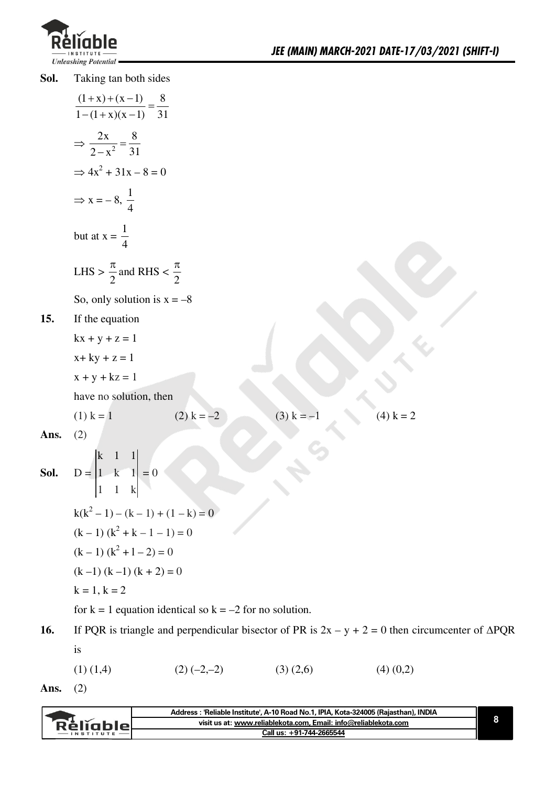

Taking tan both sides Sol.

$$
\frac{(1+x)+(x-1)}{1-(1+x)(x-1)} = \frac{8}{31}
$$
  
\n
$$
\Rightarrow \frac{2x}{2-x^2} = \frac{8}{31}
$$
  
\n
$$
\Rightarrow 4x^2 + 31x - 8 = 0
$$
  
\n
$$
\Rightarrow x = -8, \frac{1}{4}
$$
  
\nbut at  $x = \frac{1}{4}$   
\nLHS  $\ge \frac{\pi}{2}$  and RHS  $\le \frac{\pi}{2}$   
\nSo, only solution is  $x = -8$   
\n15. If the equation  
\n
$$
kx + y + z = 1
$$
\n
$$
x + ky + z = 1
$$
\n
$$
x + y + kz = 1
$$
\nhave no solution, then  
\n(1) k = 1 (2) k = -2 (3) k = -1 (4) k = 2  
\nAns. (2)  
\nSoI.  $D = \begin{vmatrix} k & 1 & 1 \\ 1 & k & 1 \\ 1 & 1 & k \end{vmatrix} = 0$   
\n $k(k^2 - 1) - (k - 1) + (1 - k) = 0$   
\n $(k - 1)(k^2 + k - 1 - 1) = 0$   
\n $(k - 1)(k^2 + 1 - 2) = 0$   
\n $(k - 1)(k^2 + 1 - 2) = 0$   
\n $k = 1, k = 2$   
\nfor k = 1 equation identical so  $k = -2$  for no solution.  
\n16. If PQR is triangle and perpendicular bisector of PR is  $2x - y + 2 = 0$  then c

- 0 then circumcenter of  $\triangle PQR$  $is$ 
	- $(1)$   $(1,4)$  $(2) (-2,-2)$  $(3)(2,6)$  $(4)$   $(0,2)$
- $(2)$ Ans.

| Address: 'Reliable Institute', A-10 Road No.1, IPIA, Kota-324005 (Rajasthan), INDIA |  |
|-------------------------------------------------------------------------------------|--|
| visit us at: www.reliablekota.com. Email: info@reliablekota.com<br>Réligblet        |  |
| Call us: +91-744-2665544                                                            |  |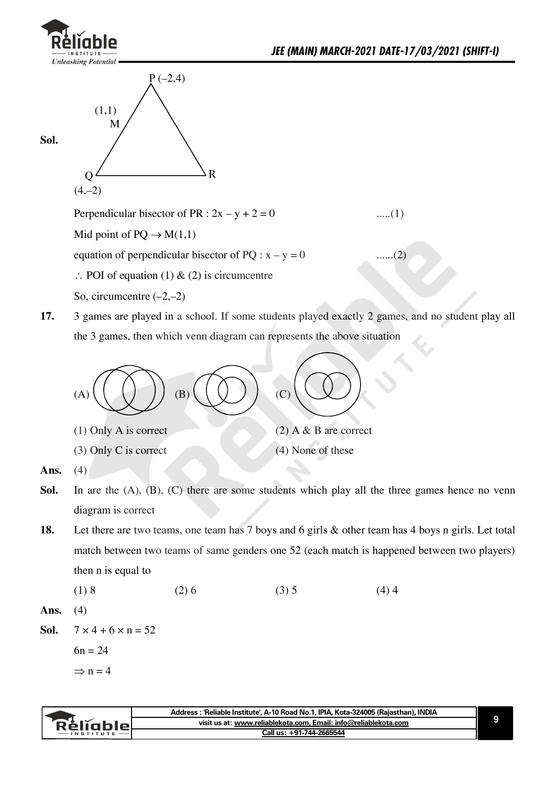

**Sol.**





Perpendicular bisector of PR :  $2x - y + 2 = 0$  ......(1)

Mid point of  $PQ \rightarrow M(1,1)$ .

equation of perpendicular bisector of PQ :  $x - y = 0$  ......(2)

- $\therefore$  POI of equation (1) & (2) is circumcentre
- So, circumcentre  $(-2,-2)$
- **17.** 3 games are played in a school. If some students played exactly 2 games, and no student play all the 3 games, then which venn diagram can represents the above situation



- $(3)$  Only C is correct  $(4)$  None of these
- 

- **Ans.**  $(4)$
- **Sol.** In are the  $(A)$ ,  $(B)$ ,  $(C)$  there are some students which play all the three games hence no venn diagram is correct
- **18.** Let there are two teams, one team has 7 boys and 6 girls & other team has 4 boys n girls. Let total match between two teams of same genders one 52 (each match is happened between two players) then n is equal to
	- $(1) 8$   $(2) 6$   $(3) 5$   $(4) 4$
- **Ans.** (4)

**Sol.**  $7 \times 4 + 6 \times n = 52$ 

 $6n = 24$ 

 $\Rightarrow$  n = 4

|               | Address: 'Reliable Institute', A-10 Road No.1, IPIA, Kota-324005 (Rajasthan), INDIA |  |
|---------------|-------------------------------------------------------------------------------------|--|
| Rélighiel     | visit us at: www.reliablekota.com, Email: info@reliablekota.com                     |  |
| $-$ INSTITUTE | Call us: +91-744-2665544                                                            |  |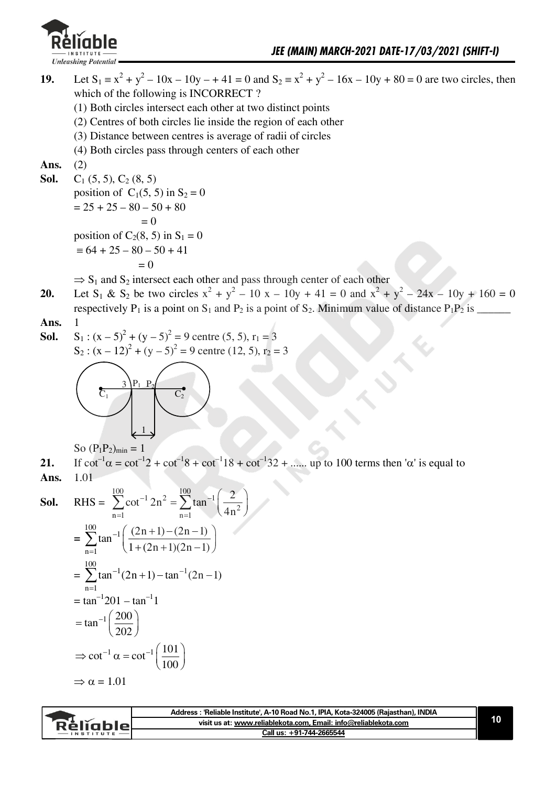

**19.** Let  $S_1 = x^2 + y^2 - 10x - 10y - 41 = 0$  and  $S_2 = x^2 + y^2 - 16x - 10y + 80 = 0$  are two circles, then which of the following is INCORRECT?

- $(1)$  Both circles intersect each other at two distinct points
- $(2)$  Centres of both circles lie inside the region of each other
- $(3)$  Distance between centres is average of radii of circles
- $(4)$  Both circles pass through centers of each other

Ans.  $(2)$ 

**Sol.**  $C_1$  (5, 5),  $C_2$  (8, 5) position of  $C_1(5, 5)$  in  $S_2 = 0$  $=25+25-80-50+80$  $= 0$ position of  $C_2(8, 5)$  in  $S_1 = 0$  $\equiv 64 + 25 - 80 - 50 + 41$  $= 0$ 

 $\Rightarrow$  S<sub>1</sub> and S<sub>2</sub> intersect each other and pass through center of each other

**20.** Let S<sub>1</sub> & S<sub>2</sub> be two circles  $x^2 + y^2 - 10x - 10y + 41 = 0$  and  $x^2 + y^2 - 24x - 10y + 160 = 0$ rbspb`tfvbiyM.fs^pofntonP.^naM/fs^pofntocP/+Jfnfmumv^iubocafst^n`bM.M/fs\\\\\\

**Ans.** 1

**Sol.**  $S_1$ :  $(x-5)^2 + (y-5)^2 = 9$  centre (5, 5),  $r_1 = 3$  $S_2$ :  $(x - 12)^2 + (y - 5)^2 = 9$  centre (12, 5),  $r_2 = 3$ 



So  $(P_1P_2)_{\text{min}}=1$ 

**21.** If  $cot^{-1}\alpha = cot^{-1}2 + cot^{-1}8 + cot^{-1}18 + cot^{-1}32 + \dots$  up to 100 terms then ' $\alpha$ ' is equal to **Ans.** 1.01

**Sol.** RHS = 
$$
\sum_{n=1}^{100} \cot^{-1} 2n^2 = \sum_{n=1}^{100} \tan^{-1} \left( \frac{2}{4n^2} \right)
$$
  
= 
$$
\sum_{n=1}^{100} \tan^{-1} \left( \frac{(2n+1) - (2n-1)}{1 + (2n+1)(2n-1)} \right)
$$
  
= 
$$
\sum_{n=1}^{100} \tan^{-1} (2n+1) - \tan^{-1} (2n-1)
$$
  
= 
$$
\tan^{-1} 201 - \tan^{-1} 1
$$
  
= 
$$
\tan^{-1} \left( \frac{200}{202} \right)
$$
  

$$
\Rightarrow \cot^{-1} \alpha = \cot^{-1} \left( \frac{101}{100} \right)
$$
  

$$
\Rightarrow \alpha = 1.01
$$

| visit us at: www.reliablekota.com, Email: info@reliablekota.com<br>Rěliable. | Address : 'Reliable Institute', A-10 Road No.1, IPIA, Kota-324005 (Rajasthan), INDIA |  |
|------------------------------------------------------------------------------|--------------------------------------------------------------------------------------|--|
|                                                                              |                                                                                      |  |
|                                                                              | Call us: +91-744-2665544                                                             |  |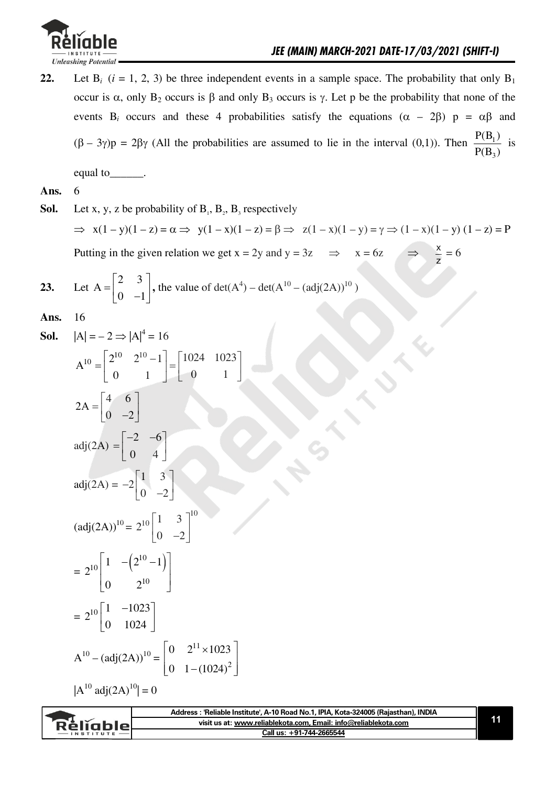

Let B<sub>i</sub>  $(i = 1, 2, 3)$  be three independent events in a sample space. The probability that only B<sub>1</sub>  $22.$ occur is  $\alpha$ , only  $B_2$  occurs is  $\beta$  and only  $B_3$  occurs is  $\gamma$ . Let p be the probability that none of the events B<sub>i</sub> occurs and these 4 probabilities satisfy the equations  $(\alpha - 2\beta)$  p =  $\alpha\beta$  and  $(\beta - 3\gamma)p = 2\beta\gamma$  (All the probabilities are assumed to lie in the interval (0,1)). Then  $\frac{P(B_1)}{P(B_2)}$  is

equal to \_\_\_\_\_\_\_.

#### Ans. 6

Sol. Let x, y, z be probability of  $B_1$ ,  $B_2$ ,  $B_3$  respectively  $\Rightarrow$  x(1 - y)(1 - z) =  $\alpha \Rightarrow$  y(1 - x)(1 - z) =  $\beta \Rightarrow$  z(1 - x)(1 - y) =  $\gamma \Rightarrow$  (1 - x)(1 - y) (1 - z) = P Putting in the given relation we get  $x = 2y$  and  $y = 3z$   $\Rightarrow x = 6z$   $\Rightarrow \frac{x}{z} = 6$ 

23. Let 
$$
A = \begin{bmatrix} 2 & 3 \\ 0 & -1 \end{bmatrix}
$$
, the value of  $det(A^4) - det(A^{10} - (adj(2A))^{10})$ 

Ans. 16

- $|A| = -2 \Rightarrow |A|^4 = 16$ Sol.
	- $A^{10} = \begin{bmatrix} 2^{10} & 2^{10} 1 \\ 0 & 1 \end{bmatrix} = \begin{bmatrix} 1024 & 1023 \\ 0 & 1 \end{bmatrix}$  $2.5$   $\begin{bmatrix} 4 & 6 \end{bmatrix}$

$$
2A = \begin{bmatrix} 0 & -2 \end{bmatrix}
$$
  
adj(2A) = 
$$
\begin{bmatrix} -2 & -6 \\ 0 & 4 \end{bmatrix}
$$
  
adj(2A) = 
$$
-2 \begin{bmatrix} 1 & 3 \\ 0 & -2 \end{bmatrix}
$$
  
(adj(2A))<sup>10</sup> = 
$$
2^{10} \begin{bmatrix} 1 & 3 \\ 0 & -2 \end{bmatrix}
$$

$$
= 2^{10} \begin{bmatrix} 1 & -\left(2^{10} - 1\right) \\ 0 & 2^{10} \end{bmatrix}
$$

$$
= 2^{10} \begin{bmatrix} 1 & -1023 \\ 0 & 1024 \end{bmatrix}
$$

 $\Gamma$ 

$$
A^{10} - (adj(2A))^{10} = \begin{bmatrix} 0 & 2^{11} \times 1023 \\ 0 & 1 - (1024)^2 \end{bmatrix}
$$

 $|A^{10} \text{adi}(2A)^{10}| = 0$ 

|                 | Address : 'Reliable Institute', A-10 Road No.1, IPIA, Kota-324005 (Rajasthan), INDIA |  |
|-----------------|--------------------------------------------------------------------------------------|--|
| <b>Religble</b> | visit us at: www.reliablekota.com, Email: info@reliablekota.com                      |  |
| $-$ INSTITUTE   | Call us: +91-744-2665544                                                             |  |